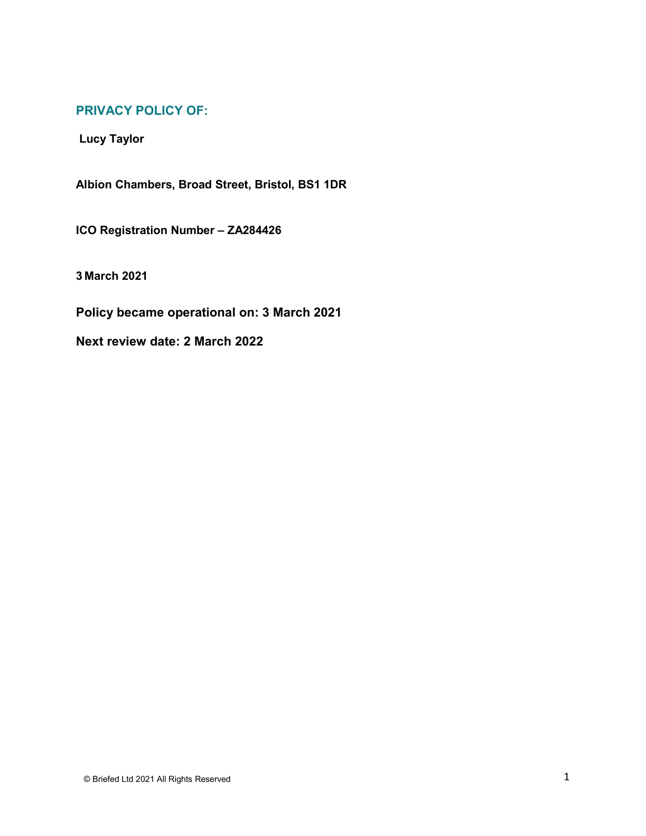# **PRIVACY POLICY OF:**

**Lucy Taylor**

**Albion Chambers, Broad Street, Bristol, BS1 1DR**

**ICO Registration Number – ZA284426**

**3 March 2021**

**Policy became operational on: 3 March 2021**

**Next review date: 2 March 2022**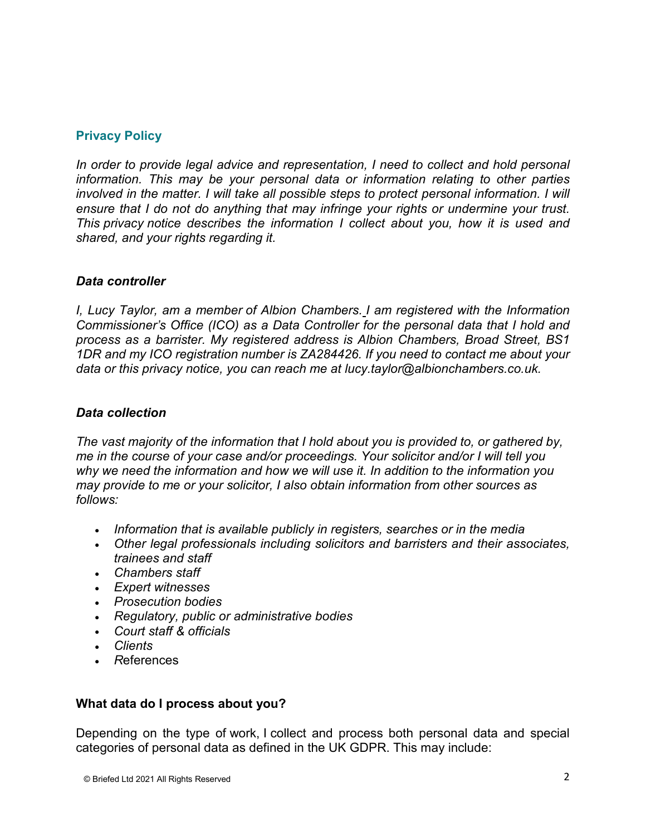# **Privacy Policy**

*In order to provide legal advice and representation, I need to collect and hold personal information. This may be your personal data or information relating to other parties involved in the matter. I will take all possible steps to protect personal information. I will ensure that I do not do anything that may infringe your rights or undermine your trust. This privacy notice describes the information I collect about you, how it is used and shared, and your rights regarding it.*

## *Data controller*

*I, Lucy Taylor, am a member of Albion Chambers. I am registered with the Information Commissioner's Office (ICO) as a Data Controller for the personal data that I hold and process as a barrister. My registered address is Albion Chambers, Broad Street, BS1 1DR and my ICO registration number is ZA284426. If you need to contact me about your data or this privacy notice, you can reach me at lucy.taylor@albionchambers.co.uk.*

#### *Data collection*

*The vast majority of the information that I hold about you is provided to, or gathered by, me in the course of your case and/or proceedings. Your solicitor and/or I will tell you why we need the information and how we will use it. In addition to the information you may provide to me or your solicitor, I also obtain information from other sources as follows:*

- *Information that is available publicly in registers, searches or in the media*
- *Other legal professionals including solicitors and barristers and their associates, trainees and staff*
- *Chambers staff*
- *Expert witnesses*
- *Prosecution bodies*
- *Regulatory, public or administrative bodies*
- *Court staff & officials*
- *Clients*
- *R*eferences

# **What data do I process about you?**

Depending on the type of work, I collect and process both personal data and special categories of personal data as defined in the UK GDPR. This may include: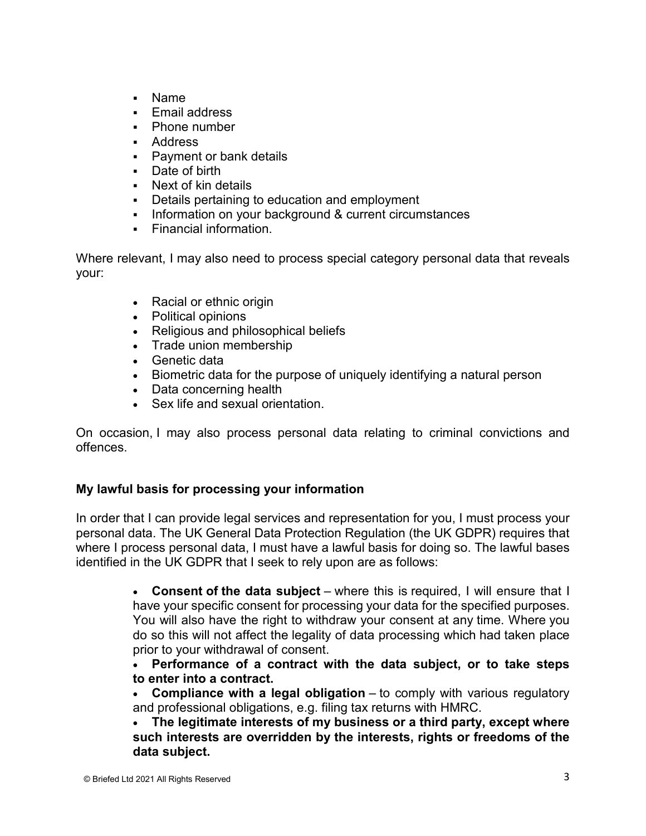- Name
- Email address
- Phone number
- **Address**
- **Payment or bank details**
- Date of birth
- Next of kin details
- Details pertaining to education and employment
- Information on your background & current circumstances
- Financial information.

Where relevant, I may also need to process special category personal data that reveals your:

- Racial or ethnic origin
- Political opinions
- Religious and philosophical beliefs
- Trade union membership
- Genetic data
- Biometric data for the purpose of uniquely identifying a natural person
- Data concerning health
- Sex life and sexual orientation.

On occasion, I may also process personal data relating to criminal convictions and offences.

# **My lawful basis for processing your information**

In order that I can provide legal services and representation for you, I must process your personal data. The UK General Data Protection Regulation (the UK GDPR) requires that where I process personal data, I must have a lawful basis for doing so. The lawful bases identified in the UK GDPR that I seek to rely upon are as follows:

> • **Consent of the data subject** – where this is required, I will ensure that I have your specific consent for processing your data for the specified purposes. You will also have the right to withdraw your consent at any time. Where you do so this will not affect the legality of data processing which had taken place prior to your withdrawal of consent.

> • **Performance of a contract with the data subject, or to take steps to enter into a contract.**

> • **Compliance with a legal obligation** – to comply with various regulatory and professional obligations, e.g. filing tax returns with HMRC.

> • **The legitimate interests of my business or a third party, except where such interests are overridden by the interests, rights or freedoms of the data subject.**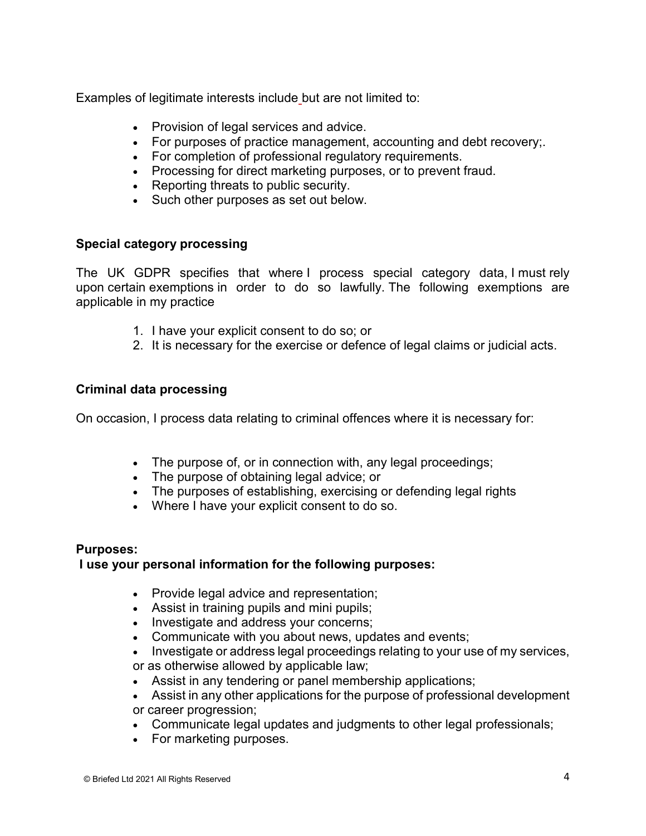Examples of legitimate interests include but are not limited to:

- Provision of legal services and advice.
- For purposes of practice management, accounting and debt recovery;.
- For completion of professional regulatory requirements.
- Processing for direct marketing purposes, or to prevent fraud.
- Reporting threats to public security.
- Such other purposes as set out below.

## **Special category processing**

The UK GDPR specifies that where I process special category data, I must rely upon certain exemptions in order to do so lawfully. The following exemptions are applicable in my practice

- 1. I have your explicit consent to do so; or
- 2. It is necessary for the exercise or defence of legal claims or judicial acts.

## **Criminal data processing**

On occasion, I process data relating to criminal offences where it is necessary for:

- The purpose of, or in connection with, any legal proceedings;
- The purpose of obtaining legal advice; or
- The purposes of establishing, exercising or defending legal rights
- Where I have your explicit consent to do so.

#### **Purposes:**

#### **I use your personal information for the following purposes:**

- Provide legal advice and representation:
- Assist in training pupils and mini pupils;
- Investigate and address your concerns;
- Communicate with you about news, updates and events;
- Investigate or address legal proceedings relating to your use of my services, or as otherwise allowed by applicable law;
- Assist in any tendering or panel membership applications;
- Assist in any other applications for the purpose of professional development or career progression;
- Communicate legal updates and judgments to other legal professionals;
- For marketing purposes.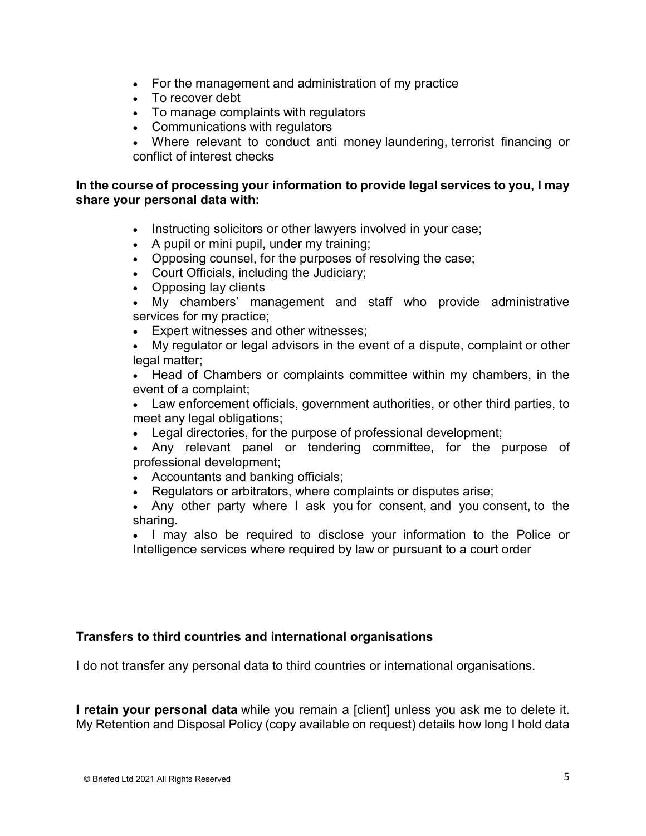- For the management and administration of my practice
- To recover debt
- To manage complaints with regulators
- Communications with regulators
- Where relevant to conduct anti money laundering, terrorist financing or conflict of interest checks

## **In the course of processing your information to provide legal services to you, I may share your personal data with:**

- Instructing solicitors or other lawyers involved in your case;
- A pupil or mini pupil, under my training;
- Opposing counsel, for the purposes of resolving the case;
- Court Officials, including the Judiciary;
- Opposing lay clients
- My chambers' management and staff who provide administrative services for my practice;
- Expert witnesses and other witnesses;
- My regulator or legal advisors in the event of a dispute, complaint or other legal matter;

• Head of Chambers or complaints committee within my chambers, in the event of a complaint;

• Law enforcement officials, government authorities, or other third parties, to meet any legal obligations;

- Legal directories, for the purpose of professional development;
- Any relevant panel or tendering committee, for the purpose of professional development;
- Accountants and banking officials;
- Regulators or arbitrators, where complaints or disputes arise;
- Any other party where I ask you for consent, and you consent, to the sharing.

• I may also be required to disclose your information to the Police or Intelligence services where required by law or pursuant to a court order

#### **Transfers to third countries and international organisations**

I do not transfer any personal data to third countries or international organisations.

**I retain your personal data** while you remain a [client] unless you ask me to delete it. My Retention and Disposal Policy (copy available on request) details how long I hold data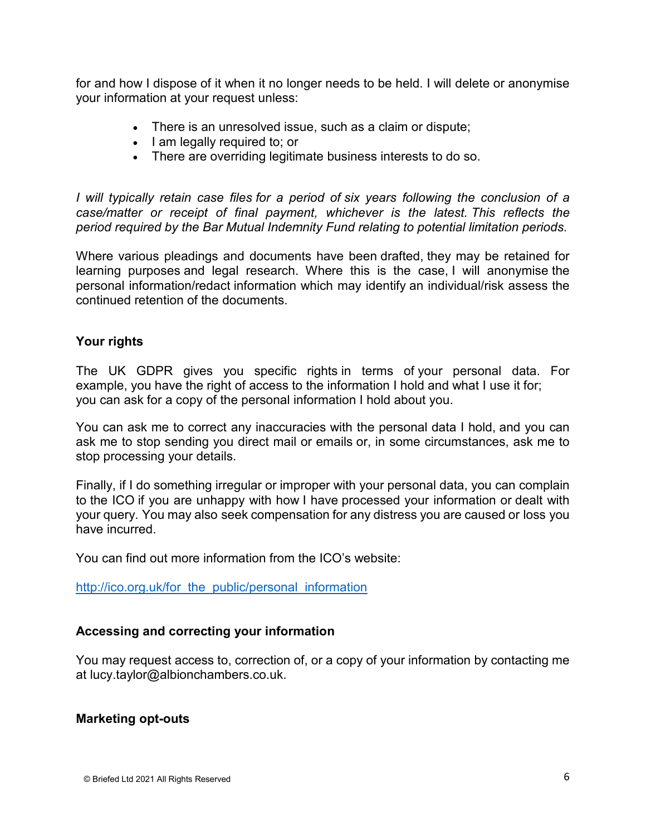for and how I dispose of it when it no longer needs to be held. I will delete or anonymise your information at your request unless:

- There is an unresolved issue, such as a claim or dispute;
- I am legally required to; or
- There are overriding legitimate business interests to do so.

*I will typically retain case files for a period of six years following the conclusion of a case/matter or receipt of final payment, whichever is the latest. This reflects the period required by the Bar Mutual Indemnity Fund relating to potential limitation periods.* 

Where various pleadings and documents have been drafted, they may be retained for learning purposes and legal research. Where this is the case, I will anonymise the personal information/redact information which may identify an individual/risk assess the continued retention of the documents.

# **Your rights**

The UK GDPR gives you specific rights in terms of your personal data. For example, you have the right of access to the information I hold and what I use it for; you can ask for a copy of the personal information I hold about you.

You can ask me to correct any inaccuracies with the personal data I hold, and you can ask me to stop sending you direct mail or emails or, in some circumstances, ask me to stop processing your details.

Finally, if I do something irregular or improper with your personal data, you can complain to the ICO if you are unhappy with how I have processed your information or dealt with your query. You may also seek compensation for any distress you are caused or loss you have incurred.

You can find out more information from the ICO's website:

http://ico.org.uk/for the public/personal information

# **Accessing and correcting your information**

You may request access to, correction of, or a copy of your information by contacting me at lucy.taylor@albionchambers.co.uk.

# **Marketing opt-outs**